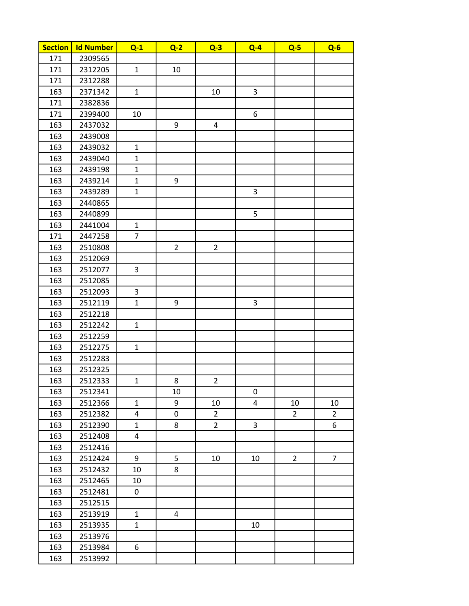| <b>Section</b> | <b>Id Number</b> | $Q-1$          | $Q-2$          | $Q-3$          | $Q - 4$        | $Q-5$          | $Q - 6$        |
|----------------|------------------|----------------|----------------|----------------|----------------|----------------|----------------|
| 171            | 2309565          |                |                |                |                |                |                |
| 171            | 2312205          | $\mathbf{1}$   | 10             |                |                |                |                |
| 171            | 2312288          |                |                |                |                |                |                |
| 163            | 2371342          | $\mathbf{1}$   |                | 10             | 3              |                |                |
| 171            | 2382836          |                |                |                |                |                |                |
| 171            | 2399400          | 10             |                |                | 6              |                |                |
| 163            | 2437032          |                | 9              | 4              |                |                |                |
| 163            | 2439008          |                |                |                |                |                |                |
| 163            | 2439032          | $\mathbf{1}$   |                |                |                |                |                |
| 163            | 2439040          | $\mathbf{1}$   |                |                |                |                |                |
| 163            | 2439198          | $\mathbf{1}$   |                |                |                |                |                |
| 163            | 2439214          | $\mathbf{1}$   | 9              |                |                |                |                |
| 163            | 2439289          | $\mathbf{1}$   |                |                | $\overline{3}$ |                |                |
| 163            | 2440865          |                |                |                |                |                |                |
| 163            | 2440899          |                |                |                | 5              |                |                |
| 163            | 2441004          | $\mathbf{1}$   |                |                |                |                |                |
| 171            | 2447258          | $\overline{7}$ |                |                |                |                |                |
| 163            | 2510808          |                | $\overline{2}$ | $\overline{2}$ |                |                |                |
| 163            | 2512069          |                |                |                |                |                |                |
| 163            | 2512077          | 3              |                |                |                |                |                |
| 163            | 2512085          |                |                |                |                |                |                |
| 163            | 2512093          | 3              |                |                |                |                |                |
| 163            | 2512119          | $\mathbf{1}$   | 9              |                | 3              |                |                |
| 163            | 2512218          |                |                |                |                |                |                |
| 163            | 2512242          | $\mathbf{1}$   |                |                |                |                |                |
| 163            | 2512259          |                |                |                |                |                |                |
| 163            | 2512275          | $\mathbf{1}$   |                |                |                |                |                |
| 163            | 2512283          |                |                |                |                |                |                |
| 163            | 2512325          |                |                |                |                |                |                |
| 163            | 2512333          | $\mathbf{1}$   | 8              | $\overline{2}$ |                |                |                |
| 163            | 2512341          |                | 10             |                | 0              |                |                |
| 163            | 2512366          | $\mathbf{1}$   | 9              | 10             | 4              | 10             | 10             |
| 163            | 2512382          | 4              | 0              | $\overline{2}$ |                | $\overline{2}$ | $\overline{2}$ |
| 163            | 2512390          | $\mathbf{1}$   | 8              | $\overline{2}$ | 3              |                | 6              |
| 163            | 2512408          | 4              |                |                |                |                |                |
| 163            | 2512416          |                |                |                |                |                |                |
| 163            | 2512424          | 9              | 5              | 10             | 10             | $\overline{2}$ | $\overline{7}$ |
| 163            | 2512432          | 10             | 8              |                |                |                |                |
| 163            | 2512465          | 10             |                |                |                |                |                |
| 163            | 2512481          | 0              |                |                |                |                |                |
| 163            | 2512515          |                |                |                |                |                |                |
| 163            | 2513919          | $\mathbf{1}$   | 4              |                |                |                |                |
| 163            | 2513935          | $\mathbf{1}$   |                |                | 10             |                |                |
| 163            | 2513976          |                |                |                |                |                |                |
| 163            | 2513984          | 6              |                |                |                |                |                |
| 163            | 2513992          |                |                |                |                |                |                |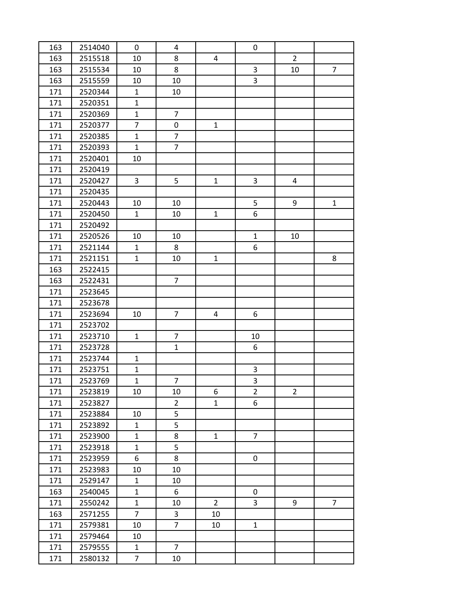| 163 | 2514040 | 0              | 4              |                | 0              |                |                |
|-----|---------|----------------|----------------|----------------|----------------|----------------|----------------|
| 163 | 2515518 | 10             | 8              | $\overline{4}$ |                | $\overline{2}$ |                |
| 163 | 2515534 | 10             | 8              |                | $\mathsf{3}$   | 10             | $\overline{7}$ |
| 163 | 2515559 | 10             | 10             |                | 3              |                |                |
| 171 | 2520344 | $\mathbf{1}$   | 10             |                |                |                |                |
| 171 | 2520351 | $\mathbf{1}$   |                |                |                |                |                |
| 171 | 2520369 | $\mathbf{1}$   | $\overline{7}$ |                |                |                |                |
| 171 | 2520377 | $\overline{7}$ | 0              | $\mathbf{1}$   |                |                |                |
| 171 | 2520385 | $\mathbf{1}$   | $\overline{7}$ |                |                |                |                |
| 171 | 2520393 | $\mathbf{1}$   | $\overline{7}$ |                |                |                |                |
| 171 | 2520401 | 10             |                |                |                |                |                |
| 171 | 2520419 |                |                |                |                |                |                |
| 171 | 2520427 | 3              | 5              | $\mathbf{1}$   | 3              | 4              |                |
| 171 | 2520435 |                |                |                |                |                |                |
| 171 | 2520443 | 10             | 10             |                | 5              | 9              | $\mathbf{1}$   |
| 171 | 2520450 | $\mathbf{1}$   | 10             | $\mathbf{1}$   | 6              |                |                |
| 171 | 2520492 |                |                |                |                |                |                |
| 171 | 2520526 | 10             | 10             |                | $\mathbf{1}$   | 10             |                |
| 171 | 2521144 | $\mathbf{1}$   | 8              |                | 6              |                |                |
| 171 | 2521151 | $\mathbf{1}$   | 10             | $\mathbf{1}$   |                |                | 8              |
| 163 | 2522415 |                |                |                |                |                |                |
| 163 | 2522431 |                | $\overline{7}$ |                |                |                |                |
| 171 | 2523645 |                |                |                |                |                |                |
| 171 | 2523678 |                |                |                |                |                |                |
| 171 | 2523694 | 10             | $\overline{7}$ | 4              | 6              |                |                |
| 171 | 2523702 |                |                |                |                |                |                |
| 171 | 2523710 | $\mathbf{1}$   | $\overline{7}$ |                | 10             |                |                |
| 171 | 2523728 |                | $\mathbf{1}$   |                | 6              |                |                |
| 171 | 2523744 | $\mathbf{1}$   |                |                |                |                |                |
| 171 | 2523751 | $\mathbf{1}$   |                |                | 3              |                |                |
| 171 | 2523769 | $\mathbf{1}$   | $\overline{7}$ |                | 3              |                |                |
| 171 | 2523819 | 10             | 10             | 6              | $\overline{2}$ | $\overline{2}$ |                |
| 171 | 2523827 |                | $\overline{2}$ | $\mathbf{1}$   | 6              |                |                |
| 171 | 2523884 | 10             | 5              |                |                |                |                |
| 171 | 2523892 | $\mathbf{1}$   | 5              |                |                |                |                |
| 171 | 2523900 | $\mathbf{1}$   | 8              | $\mathbf 1$    | $\overline{7}$ |                |                |
| 171 | 2523918 | $\mathbf{1}$   | 5              |                |                |                |                |
| 171 | 2523959 | 6              | 8              |                | 0              |                |                |
| 171 | 2523983 | 10             | 10             |                |                |                |                |
| 171 | 2529147 | $\mathbf{1}$   | 10             |                |                |                |                |
| 163 | 2540045 | $\mathbf{1}$   | 6              |                | 0              |                |                |
| 171 | 2550242 | $\mathbf{1}$   | 10             | $\overline{2}$ | 3              | 9              | $\overline{7}$ |
| 163 | 2571255 | $\overline{7}$ | 3              | 10             |                |                |                |
| 171 | 2579381 | 10             | $\overline{7}$ | 10             | $\mathbf{1}$   |                |                |
| 171 | 2579464 | 10             |                |                |                |                |                |
| 171 | 2579555 | $\mathbf 1$    | $\overline{7}$ |                |                |                |                |
| 171 | 2580132 | $\overline{7}$ | 10             |                |                |                |                |